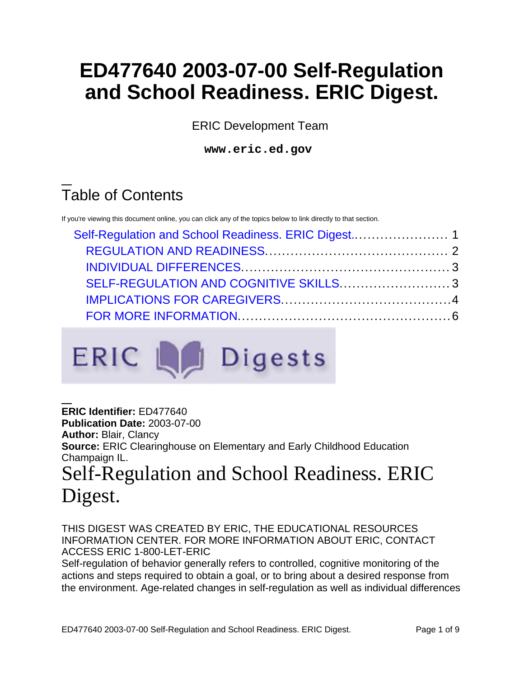# **ED477640 2003-07-00 Self-Regulation and School Readiness. ERIC Digest.**

ERIC Development Team

**www.eric.ed.gov**

## Table of Contents

If you're viewing this document online, you can click any of the topics below to link directly to that section.



<span id="page-0-0"></span>**ERIC Identifier:** ED477640 **Publication Date:** 2003-07-00 **Author:** Blair, Clancy **Source:** ERIC Clearinghouse on Elementary and Early Childhood Education Champaign IL. Self-Regulation and School Readiness. ERIC Digest.

THIS DIGEST WAS CREATED BY ERIC, THE EDUCATIONAL RESOURCES INFORMATION CENTER. FOR MORE INFORMATION ABOUT ERIC, CONTACT ACCESS ERIC 1-800-LET-ERIC

Self-regulation of behavior generally refers to controlled, cognitive monitoring of the actions and steps required to obtain a goal, or to bring about a desired response from the environment. Age-related changes in self-regulation as well as individual differences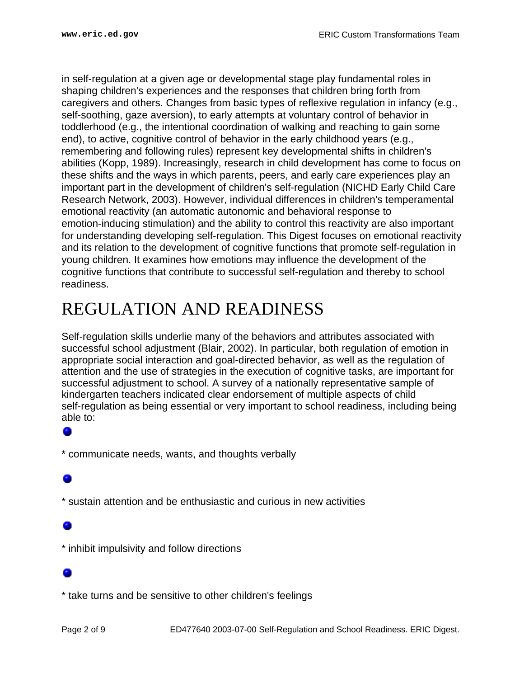in self-regulation at a given age or developmental stage play fundamental roles in shaping children's experiences and the responses that children bring forth from caregivers and others. Changes from basic types of reflexive regulation in infancy (e.g., self-soothing, gaze aversion), to early attempts at voluntary control of behavior in toddlerhood (e.g., the intentional coordination of walking and reaching to gain some end), to active, cognitive control of behavior in the early childhood years (e.g., remembering and following rules) represent key developmental shifts in children's abilities (Kopp, 1989). Increasingly, research in child development has come to focus on these shifts and the ways in which parents, peers, and early care experiences play an important part in the development of children's self-regulation (NICHD Early Child Care Research Network, 2003). However, individual differences in children's temperamental emotional reactivity (an automatic autonomic and behavioral response to emotion-inducing stimulation) and the ability to control this reactivity are also important for understanding developing self-regulation. This Digest focuses on emotional reactivity and its relation to the development of cognitive functions that promote self-regulation in young children. It examines how emotions may influence the development of the cognitive functions that contribute to successful self-regulation and thereby to school readiness.

## <span id="page-1-0"></span>REGULATION AND READINESS

Self-regulation skills underlie many of the behaviors and attributes associated with successful school adjustment (Blair, 2002). In particular, both regulation of emotion in appropriate social interaction and goal-directed behavior, as well as the regulation of attention and the use of strategies in the execution of cognitive tasks, are important for successful adjustment to school. A survey of a nationally representative sample of kindergarten teachers indicated clear endorsement of multiple aspects of child self-regulation as being essential or very important to school readiness, including being able to:

\* communicate needs, wants, and thoughts verbally

\* sustain attention and be enthusiastic and curious in new activities

\* inhibit impulsivity and follow directions

\* take turns and be sensitive to other children's feelings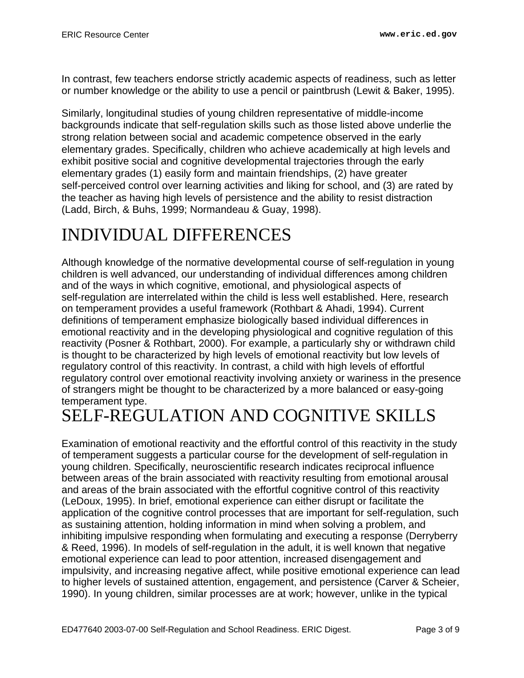In contrast, few teachers endorse strictly academic aspects of readiness, such as letter or number knowledge or the ability to use a pencil or paintbrush (Lewit & Baker, 1995).

Similarly, longitudinal studies of young children representative of middle-income backgrounds indicate that self-regulation skills such as those listed above underlie the strong relation between social and academic competence observed in the early elementary grades. Specifically, children who achieve academically at high levels and exhibit positive social and cognitive developmental trajectories through the early elementary grades (1) easily form and maintain friendships, (2) have greater self-perceived control over learning activities and liking for school, and (3) are rated by the teacher as having high levels of persistence and the ability to resist distraction (Ladd, Birch, & Buhs, 1999; Normandeau & Guay, 1998).

## <span id="page-2-0"></span>INDIVIDUAL DIFFERENCES

Although knowledge of the normative developmental course of self-regulation in young children is well advanced, our understanding of individual differences among children and of the ways in which cognitive, emotional, and physiological aspects of self-regulation are interrelated within the child is less well established. Here, research on temperament provides a useful framework (Rothbart & Ahadi, 1994). Current definitions of temperament emphasize biologically based individual differences in emotional reactivity and in the developing physiological and cognitive regulation of this reactivity (Posner & Rothbart, 2000). For example, a particularly shy or withdrawn child is thought to be characterized by high levels of emotional reactivity but low levels of regulatory control of this reactivity. In contrast, a child with high levels of effortful regulatory control over emotional reactivity involving anxiety or wariness in the presence of strangers might be thought to be characterized by a more balanced or easy-going temperament type.

## <span id="page-2-1"></span>SELF-REGULATION AND COGNITIVE SKILLS

Examination of emotional reactivity and the effortful control of this reactivity in the study of temperament suggests a particular course for the development of self-regulation in young children. Specifically, neuroscientific research indicates reciprocal influence between areas of the brain associated with reactivity resulting from emotional arousal and areas of the brain associated with the effortful cognitive control of this reactivity (LeDoux, 1995). In brief, emotional experience can either disrupt or facilitate the application of the cognitive control processes that are important for self-regulation, such as sustaining attention, holding information in mind when solving a problem, and inhibiting impulsive responding when formulating and executing a response (Derryberry & Reed, 1996). In models of self-regulation in the adult, it is well known that negative emotional experience can lead to poor attention, increased disengagement and impulsivity, and increasing negative affect, while positive emotional experience can lead to higher levels of sustained attention, engagement, and persistence (Carver & Scheier, 1990). In young children, similar processes are at work; however, unlike in the typical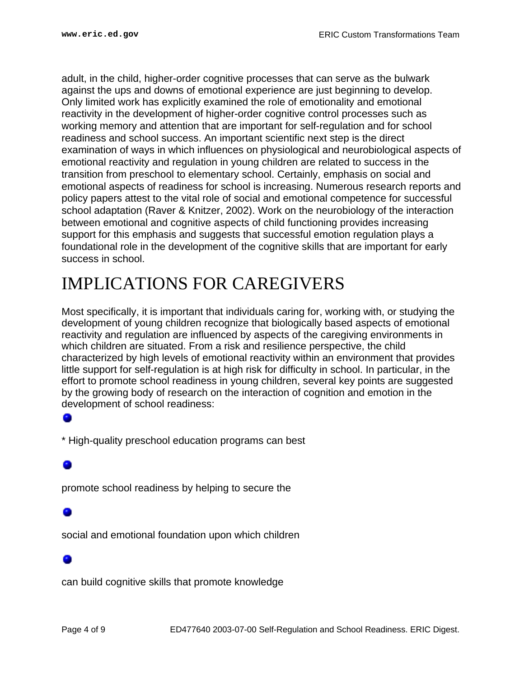adult, in the child, higher-order cognitive processes that can serve as the bulwark against the ups and downs of emotional experience are just beginning to develop. Only limited work has explicitly examined the role of emotionality and emotional reactivity in the development of higher-order cognitive control processes such as working memory and attention that are important for self-regulation and for school readiness and school success. An important scientific next step is the direct examination of ways in which influences on physiological and neurobiological aspects of emotional reactivity and regulation in young children are related to success in the transition from preschool to elementary school. Certainly, emphasis on social and emotional aspects of readiness for school is increasing. Numerous research reports and policy papers attest to the vital role of social and emotional competence for successful school adaptation (Raver & Knitzer, 2002). Work on the neurobiology of the interaction between emotional and cognitive aspects of child functioning provides increasing support for this emphasis and suggests that successful emotion regulation plays a foundational role in the development of the cognitive skills that are important for early success in school.

## <span id="page-3-0"></span>IMPLICATIONS FOR CAREGIVERS

Most specifically, it is important that individuals caring for, working with, or studying the development of young children recognize that biologically based aspects of emotional reactivity and regulation are influenced by aspects of the caregiving environments in which children are situated. From a risk and resilience perspective, the child characterized by high levels of emotional reactivity within an environment that provides little support for self-regulation is at high risk for difficulty in school. In particular, in the effort to promote school readiness in young children, several key points are suggested by the growing body of research on the interaction of cognition and emotion in the development of school readiness:

### ۰

\* High-quality preschool education programs can best

promote school readiness by helping to secure the

social and emotional foundation upon which children

can build cognitive skills that promote knowledge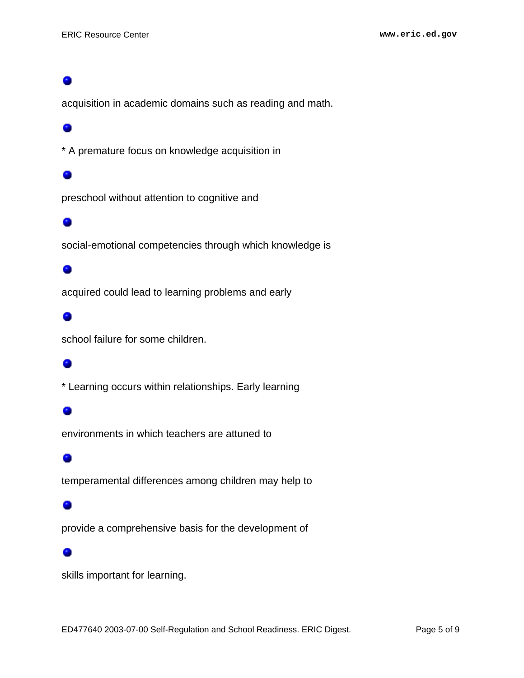acquisition in academic domains such as reading and math.

### 0

\* A premature focus on knowledge acquisition in

### ۸

preschool without attention to cognitive and

### 0

social-emotional competencies through which knowledge is

### ۰

acquired could lead to learning problems and early

### ۰

school failure for some children.

### 0

\* Learning occurs within relationships. Early learning

environments in which teachers are attuned to

### 0

temperamental differences among children may help to

### ۰

provide a comprehensive basis for the development of

### ۰

skills important for learning.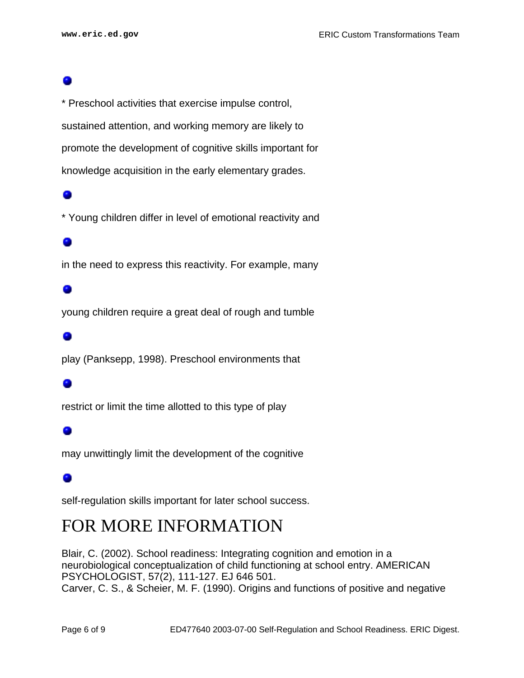\* Preschool activities that exercise impulse control, sustained attention, and working memory are likely to promote the development of cognitive skills important for knowledge acquisition in the early elementary grades.

\* Young children differ in level of emotional reactivity and

### ۰

in the need to express this reactivity. For example, many

### ۰

young children require a great deal of rough and tumble

### ۰

play (Panksepp, 1998). Preschool environments that

restrict or limit the time allotted to this type of play

### o

may unwittingly limit the development of the cognitive

### ۰

self-regulation skills important for later school success.

## <span id="page-5-0"></span>FOR MORE INFORMATION

Blair, C. (2002). School readiness: Integrating cognition and emotion in a neurobiological conceptualization of child functioning at school entry. AMERICAN PSYCHOLOGIST, 57(2), 111-127. EJ 646 501. Carver, C. S., & Scheier, M. F. (1990). Origins and functions of positive and negative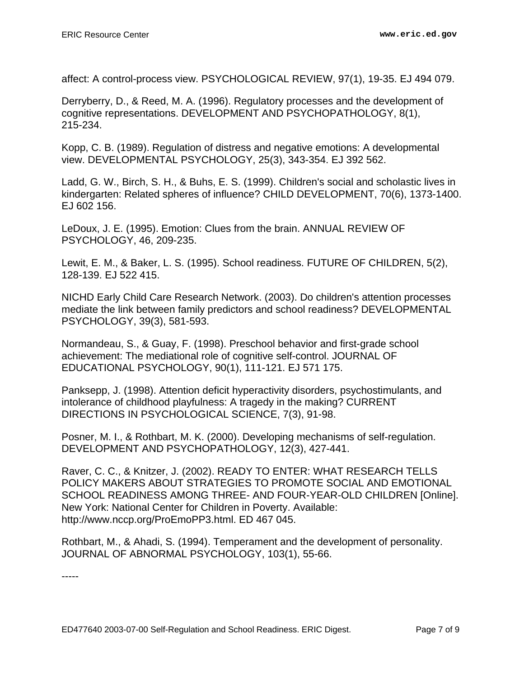affect: A control-process view. PSYCHOLOGICAL REVIEW, 97(1), 19-35. EJ 494 079.

Derryberry, D., & Reed, M. A. (1996). Regulatory processes and the development of cognitive representations. DEVELOPMENT AND PSYCHOPATHOLOGY, 8(1), 215-234.

Kopp, C. B. (1989). Regulation of distress and negative emotions: A developmental view. DEVELOPMENTAL PSYCHOLOGY, 25(3), 343-354. EJ 392 562.

Ladd, G. W., Birch, S. H., & Buhs, E. S. (1999). Children's social and scholastic lives in kindergarten: Related spheres of influence? CHILD DEVELOPMENT, 70(6), 1373-1400. EJ 602 156.

LeDoux, J. E. (1995). Emotion: Clues from the brain. ANNUAL REVIEW OF PSYCHOLOGY, 46, 209-235.

Lewit, E. M., & Baker, L. S. (1995). School readiness. FUTURE OF CHILDREN, 5(2), 128-139. EJ 522 415.

NICHD Early Child Care Research Network. (2003). Do children's attention processes mediate the link between family predictors and school readiness? DEVELOPMENTAL PSYCHOLOGY, 39(3), 581-593.

Normandeau, S., & Guay, F. (1998). Preschool behavior and first-grade school achievement: The mediational role of cognitive self-control. JOURNAL OF EDUCATIONAL PSYCHOLOGY, 90(1), 111-121. EJ 571 175.

Panksepp, J. (1998). Attention deficit hyperactivity disorders, psychostimulants, and intolerance of childhood playfulness: A tragedy in the making? CURRENT DIRECTIONS IN PSYCHOLOGICAL SCIENCE, 7(3), 91-98.

Posner, M. I., & Rothbart, M. K. (2000). Developing mechanisms of self-regulation. DEVELOPMENT AND PSYCHOPATHOLOGY, 12(3), 427-441.

Raver, C. C., & Knitzer, J. (2002). READY TO ENTER: WHAT RESEARCH TELLS POLICY MAKERS ABOUT STRATEGIES TO PROMOTE SOCIAL AND EMOTIONAL SCHOOL READINESS AMONG THREE- AND FOUR-YEAR-OLD CHILDREN [Online]. New York: National Center for Children in Poverty. Available: http://www.nccp.org/ProEmoPP3.html. ED 467 045.

Rothbart, M., & Ahadi, S. (1994). Temperament and the development of personality. JOURNAL OF ABNORMAL PSYCHOLOGY, 103(1), 55-66.

-----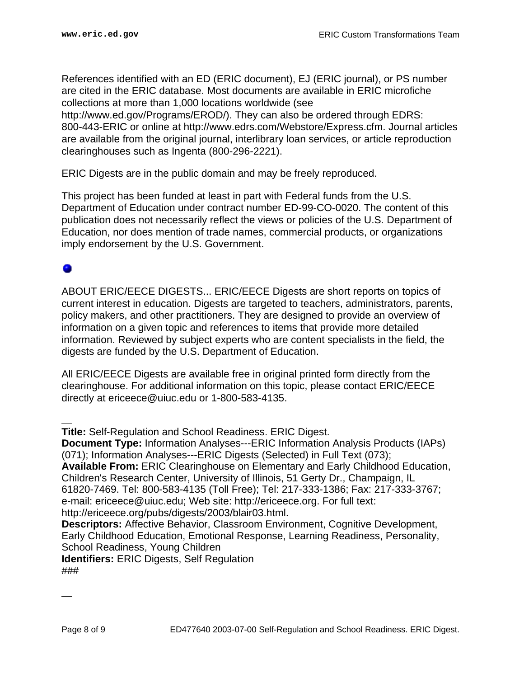References identified with an ED (ERIC document), EJ (ERIC journal), or PS number are cited in the ERIC database. Most documents are available in ERIC microfiche collections at more than 1,000 locations worldwide (see http://www.ed.gov/Programs/EROD/). They can also be ordered through EDRS: 800-443-ERIC or online at http://www.edrs.com/Webstore/Express.cfm. Journal articles are available from the original journal, interlibrary loan services, or article reproduction clearinghouses such as Ingenta (800-296-2221).

ERIC Digests are in the public domain and may be freely reproduced.

This project has been funded at least in part with Federal funds from the U.S. Department of Education under contract number ED-99-CO-0020. The content of this publication does not necessarily reflect the views or policies of the U.S. Department of Education, nor does mention of trade names, commercial products, or organizations imply endorsement by the U.S. Government.

ABOUT ERIC/EECE DIGESTS... ERIC/EECE Digests are short reports on topics of current interest in education. Digests are targeted to teachers, administrators, parents, policy makers, and other practitioners. They are designed to provide an overview of information on a given topic and references to items that provide more detailed information. Reviewed by subject experts who are content specialists in the field, the digests are funded by the U.S. Department of Education.

All ERIC/EECE Digests are available free in original printed form directly from the clearinghouse. For additional information on this topic, please contact ERIC/EECE directly at ericeece@uiuc.edu or 1-800-583-4135.

**Title:** Self-Regulation and School Readiness. ERIC Digest.

**Document Type:** Information Analyses---ERIC Information Analysis Products (IAPs) (071); Information Analyses---ERIC Digests (Selected) in Full Text (073); **Available From:** ERIC Clearinghouse on Elementary and Early Childhood Education, Children's Research Center, University of Illinois, 51 Gerty Dr., Champaign, IL 61820-7469. Tel: 800-583-4135 (Toll Free); Tel: 217-333-1386; Fax: 217-333-3767; e-mail: ericeece@uiuc.edu; Web site: http://ericeece.org. For full text: http://ericeece.org/pubs/digests/2003/blair03.html.

**Descriptors:** Affective Behavior, Classroom Environment, Cognitive Development, Early Childhood Education, Emotional Response, Learning Readiness, Personality, School Readiness, Young Children

**Identifiers:** ERIC Digests, Self Regulation ###